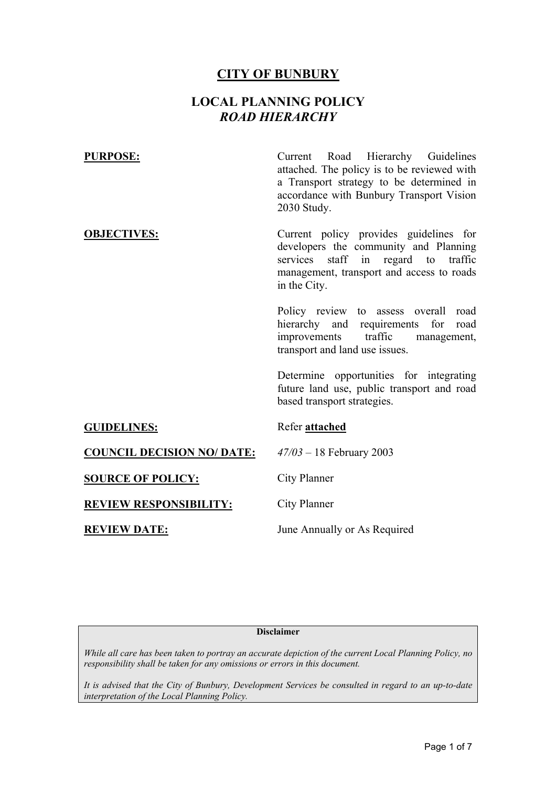#### **CITY OF BUNBURY**

### **LOCAL PLANNING POLICY**  *ROAD HIERARCHY*

**PURPOSE:** Current Road Hierarchy Guidelines attached. The policy is to be reviewed with a Transport strategy to be determined in accordance with Bunbury Transport Vision 2030 Study. **OBJECTIVES:** Current policy provides guidelines for developers the community and Planning services staff in regard to traffic management, transport and access to roads in the City. Policy review to assess overall road hierarchy and requirements for road improvements traffic management, transport and land use issues. Determine opportunities for integrating future land use, public transport and road based transport strategies. **GUIDELINES:** Refer **attached COUNCIL DECISION NO/ DATE:** *47/03* – 18 February 2003 **SOURCE OF POLICY:** City Planner **REVIEW RESPONSIBILITY:** City Planner **REVIEW DATE:** June Annually or As Required

#### **Disclaimer**

*While all care has been taken to portray an accurate depiction of the current Local Planning Policy, no responsibility shall be taken for any omissions or errors in this document.* 

*It is advised that the City of Bunbury, Development Services be consulted in regard to an up-to-date interpretation of the Local Planning Policy.*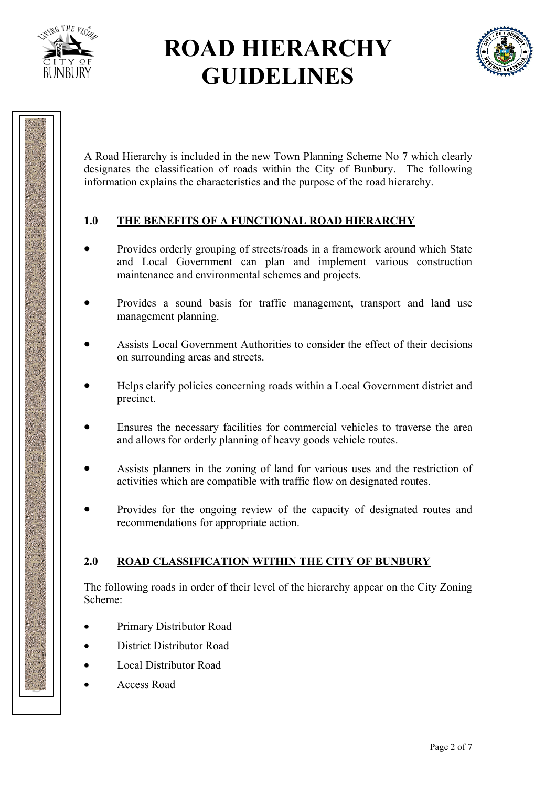



A Road Hierarchy is included in the new Town Planning Scheme No 7 which clearly designates the classification of roads within the City of Bunbury. The following information explains the characteristics and the purpose of the road hierarchy.

### **1.0 THE BENEFITS OF A FUNCTIONAL ROAD HIERARCHY**

- Provides orderly grouping of streets/roads in a framework around which State and Local Government can plan and implement various construction maintenance and environmental schemes and projects.
- Provides a sound basis for traffic management, transport and land use management planning.
- Assists Local Government Authorities to consider the effect of their decisions on surrounding areas and streets.
- Helps clarify policies concerning roads within a Local Government district and precinct.
- Ensures the necessary facilities for commercial vehicles to traverse the area and allows for orderly planning of heavy goods vehicle routes.
- Assists planners in the zoning of land for various uses and the restriction of activities which are compatible with traffic flow on designated routes.
- Provides for the ongoing review of the capacity of designated routes and recommendations for appropriate action.

### **2.0 ROAD CLASSIFICATION WITHIN THE CITY OF BUNBURY**

The following roads in order of their level of the hierarchy appear on the City Zoning Scheme:

- Primary Distributor Road
- District Distributor Road
- Local Distributor Road
- Access Road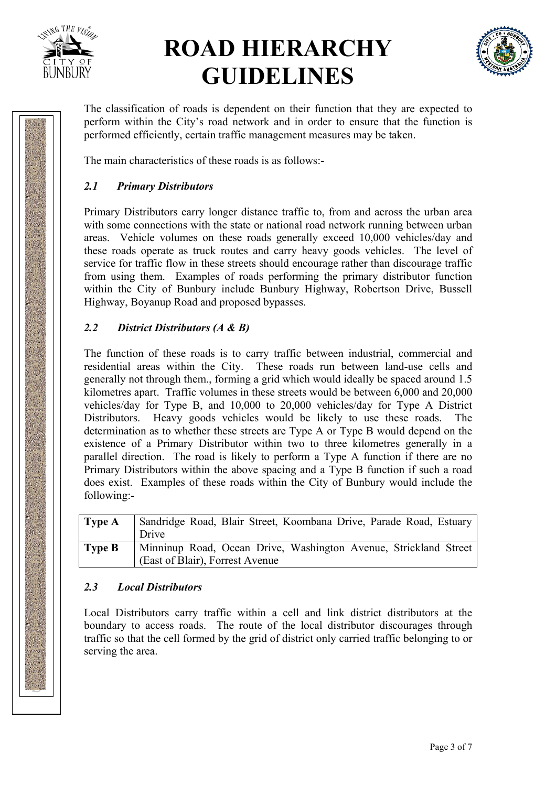



The classification of roads is dependent on their function that they are expected to perform within the City's road network and in order to ensure that the function is performed efficiently, certain traffic management measures may be taken.

The main characteristics of these roads is as follows:-

### *2.1 Primary Distributors*

Primary Distributors carry longer distance traffic to, from and across the urban area with some connections with the state or national road network running between urban areas. Vehicle volumes on these roads generally exceed 10,000 vehicles/day and these roads operate as truck routes and carry heavy goods vehicles. The level of service for traffic flow in these streets should encourage rather than discourage traffic from using them. Examples of roads performing the primary distributor function within the City of Bunbury include Bunbury Highway, Robertson Drive, Bussell Highway, Boyanup Road and proposed bypasses.

#### *2.2 District Distributors (A & B)*

The function of these roads is to carry traffic between industrial, commercial and residential areas within the City. These roads run between land-use cells and generally not through them., forming a grid which would ideally be spaced around 1.5 kilometres apart. Traffic volumes in these streets would be between 6,000 and 20,000 vehicles/day for Type B, and 10,000 to 20,000 vehicles/day for Type A District Distributors. Heavy goods vehicles would be likely to use these roads. The determination as to whether these streets are Type A or Type B would depend on the existence of a Primary Distributor within two to three kilometres generally in a parallel direction. The road is likely to perform a Type A function if there are no Primary Distributors within the above spacing and a Type B function if such a road does exist. Examples of these roads within the City of Bunbury would include the following:-

| <b>Type A</b> | Sandridge Road, Blair Street, Koombana Drive, Parade Road, Estuary<br>Drive                         |
|---------------|-----------------------------------------------------------------------------------------------------|
| <b>Type B</b> | Minninup Road, Ocean Drive, Washington Avenue, Strickland Street<br>(East of Blair), Forrest Avenue |

#### *2.3 Local Distributors*

Local Distributors carry traffic within a cell and link district distributors at the boundary to access roads. The route of the local distributor discourages through traffic so that the cell formed by the grid of district only carried traffic belonging to or serving the area.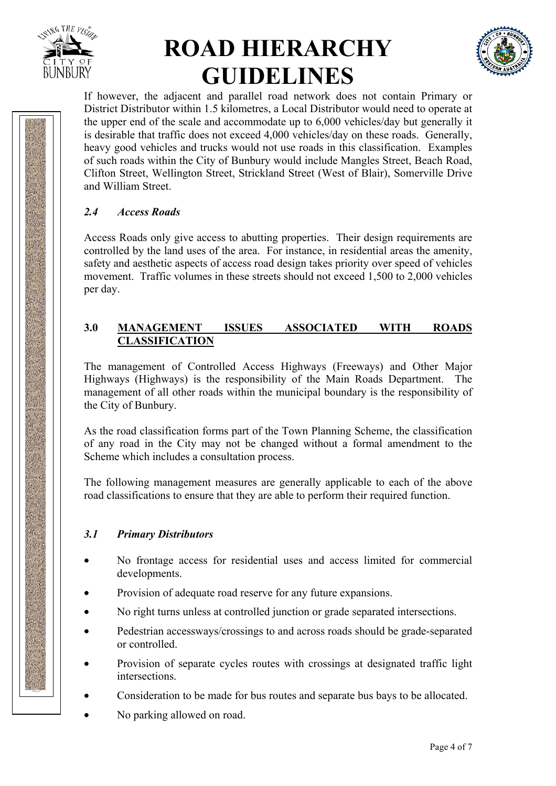



If however, the adjacent and parallel road network does not contain Primary or District Distributor within 1.5 kilometres, a Local Distributor would need to operate at the upper end of the scale and accommodate up to 6,000 vehicles/day but generally it is desirable that traffic does not exceed 4,000 vehicles/day on these roads. Generally, heavy good vehicles and trucks would not use roads in this classification. Examples of such roads within the City of Bunbury would include Mangles Street, Beach Road, Clifton Street, Wellington Street, Strickland Street (West of Blair), Somerville Drive and William Street.

### *2.4 Access Roads*

Access Roads only give access to abutting properties. Their design requirements are controlled by the land uses of the area. For instance, in residential areas the amenity, safety and aesthetic aspects of access road design takes priority over speed of vehicles movement. Traffic volumes in these streets should not exceed 1,500 to 2,000 vehicles per day.

#### **3.0 MANAGEMENT ISSUES ASSOCIATED WITH ROADS CLASSIFICATION**

The management of Controlled Access Highways (Freeways) and Other Major Highways (Highways) is the responsibility of the Main Roads Department. The management of all other roads within the municipal boundary is the responsibility of the City of Bunbury.

As the road classification forms part of the Town Planning Scheme, the classification of any road in the City may not be changed without a formal amendment to the Scheme which includes a consultation process.

The following management measures are generally applicable to each of the above road classifications to ensure that they are able to perform their required function.

#### *3.1 Primary Distributors*

- No frontage access for residential uses and access limited for commercial developments.
- Provision of adequate road reserve for any future expansions.
- No right turns unless at controlled junction or grade separated intersections.
- Pedestrian accessways/crossings to and across roads should be grade-separated or controlled.
- Provision of separate cycles routes with crossings at designated traffic light intersections.
- Consideration to be made for bus routes and separate bus bays to be allocated.
- No parking allowed on road.

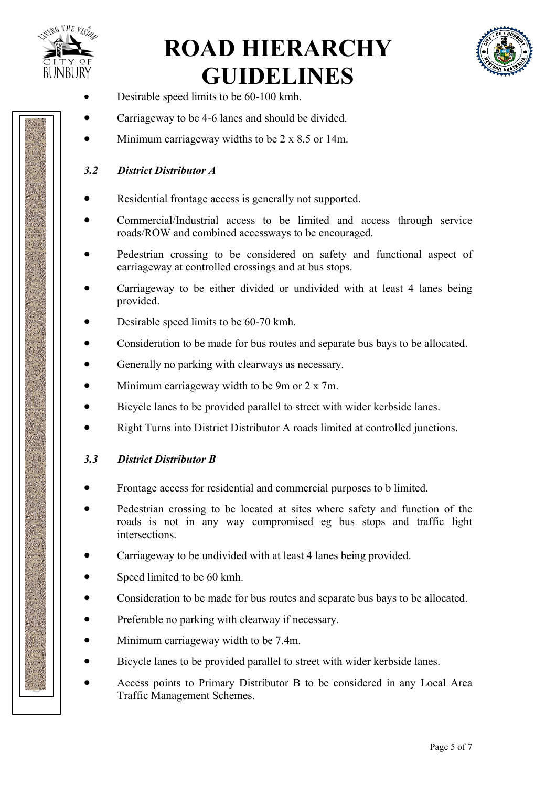



- Desirable speed limits to be 60-100 kmh.
- Carriageway to be 4-6 lanes and should be divided.
- Minimum carriageway widths to be  $2 \times 8.5$  or 14m.

#### *3.2 District Distributor A*

- Residential frontage access is generally not supported.
- Commercial/Industrial access to be limited and access through service roads/ROW and combined accessways to be encouraged.
- Pedestrian crossing to be considered on safety and functional aspect of carriageway at controlled crossings and at bus stops.
- Carriageway to be either divided or undivided with at least 4 lanes being provided.
- Desirable speed limits to be 60-70 kmh.
- Consideration to be made for bus routes and separate bus bays to be allocated.
- Generally no parking with clearways as necessary.
- Minimum carriageway width to be 9m or 2 x 7m.
- Bicycle lanes to be provided parallel to street with wider kerbside lanes.
- Right Turns into District Distributor A roads limited at controlled junctions.

#### *3.3 District Distributor B*

- Frontage access for residential and commercial purposes to b limited.
- Pedestrian crossing to be located at sites where safety and function of the roads is not in any way compromised eg bus stops and traffic light intersections.
- Carriageway to be undivided with at least 4 lanes being provided.
- Speed limited to be 60 kmh.
- Consideration to be made for bus routes and separate bus bays to be allocated.
- Preferable no parking with clearway if necessary.
- Minimum carriageway width to be 7.4m.
- Bicycle lanes to be provided parallel to street with wider kerbside lanes.
- Access points to Primary Distributor B to be considered in any Local Area Traffic Management Schemes.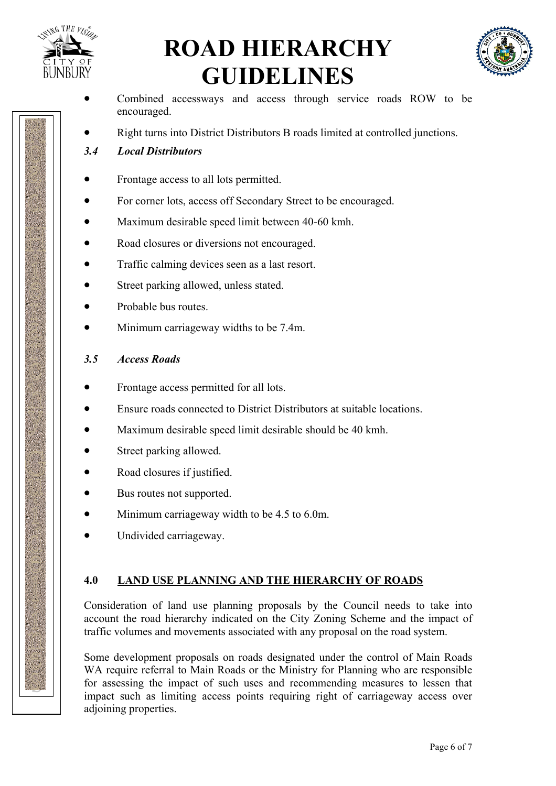



- Combined accessways and access through service roads ROW to be encouraged.
- Right turns into District Distributors B roads limited at controlled junctions.
- *3.4 Local Distributors*
- Frontage access to all lots permitted.
- For corner lots, access off Secondary Street to be encouraged.
- Maximum desirable speed limit between 40-60 kmh.
- Road closures or diversions not encouraged.
- Traffic calming devices seen as a last resort.
- Street parking allowed, unless stated.
- Probable bus routes.
- Minimum carriageway widths to be 7.4m.

#### *3.5 Access Roads*

- Frontage access permitted for all lots.
- Ensure roads connected to District Distributors at suitable locations.
- Maximum desirable speed limit desirable should be 40 kmh.
- Street parking allowed.
- Road closures if justified.
- Bus routes not supported.
- Minimum carriageway width to be 4.5 to 6.0m.
- Undivided carriageway.

#### **4.0 LAND USE PLANNING AND THE HIERARCHY OF ROADS**

Consideration of land use planning proposals by the Council needs to take into account the road hierarchy indicated on the City Zoning Scheme and the impact of traffic volumes and movements associated with any proposal on the road system.

Some development proposals on roads designated under the control of Main Roads WA require referral to Main Roads or the Ministry for Planning who are responsible for assessing the impact of such uses and recommending measures to lessen that impact such as limiting access points requiring right of carriageway access over adjoining properties.